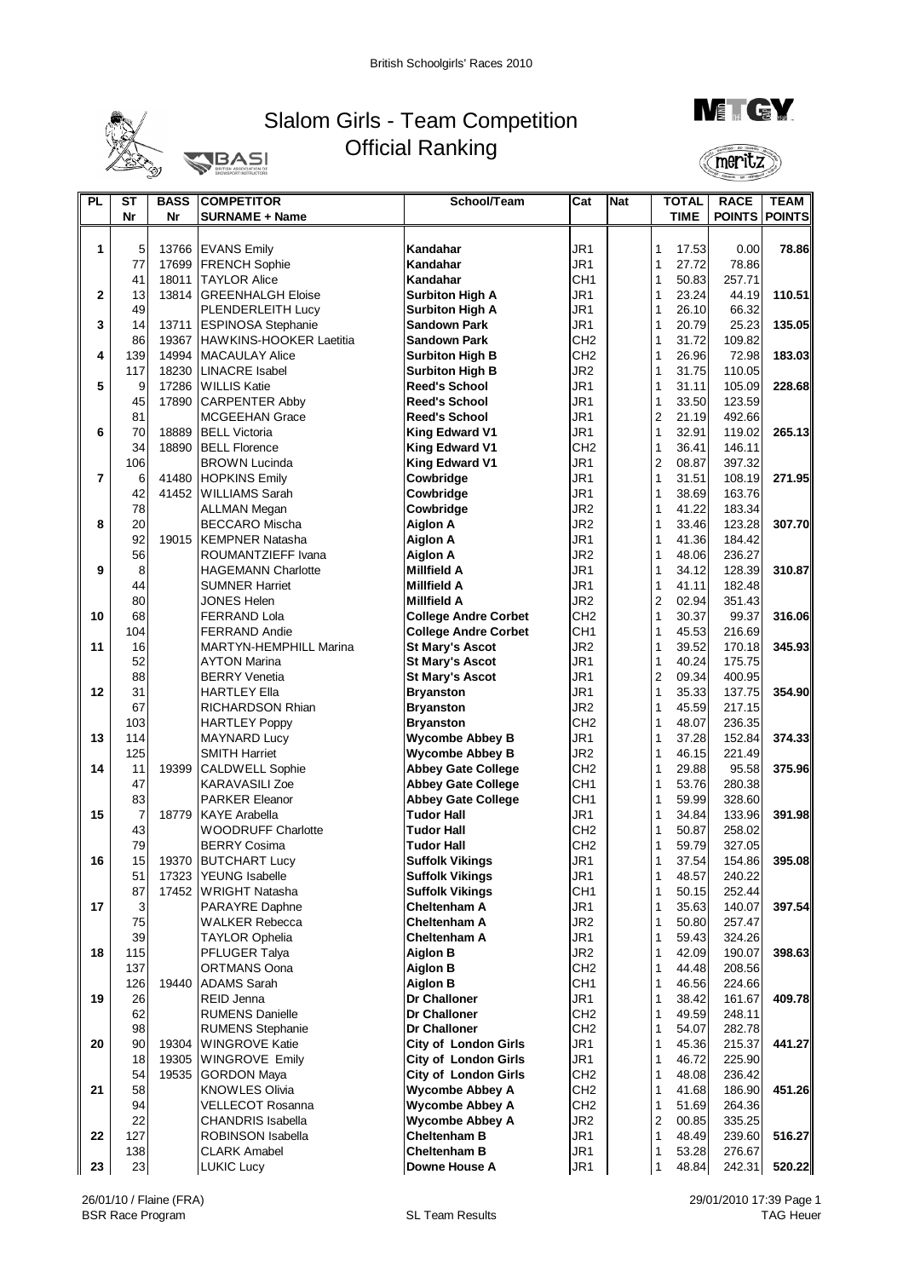

## Slalom Girls - Team Competition Official Ranking **J**BASI



meritz

| <b>PL</b>      | <b>ST</b>      | <b>BASS</b>    | <b>COMPETITOR</b>                                | School/Team                                    | Cat                                | <b>Nat</b> |                              | <b>TOTAL</b>   | <b>RACE</b>      | <b>TEAM</b> |
|----------------|----------------|----------------|--------------------------------------------------|------------------------------------------------|------------------------------------|------------|------------------------------|----------------|------------------|-------------|
|                | Nr             | Nr             | <b>SURNAME + Name</b>                            |                                                |                                    |            |                              | <b>TIME</b>    | POINTS POINTS    |             |
|                |                |                |                                                  |                                                |                                    |            |                              |                |                  |             |
| 1              | 5              | 13766          | <b>EVANS Emily</b>                               | Kandahar                                       | JR <sub>1</sub>                    |            | 1                            | 17.53          | 0.00             | 78.86       |
|                | 77             | 17699          | <b>FRENCH Sophie</b>                             | Kandahar                                       | JR1                                |            | 1                            | 27.72          | 78.86            |             |
|                | 41             | 18011          | <b>TAYLOR Alice</b>                              | Kandahar                                       | CH <sub>1</sub>                    |            | 1                            | 50.83          | 257.71           |             |
| $\mathbf{2}$   | 13             |                | 13814 GREENHALGH Eloise                          | <b>Surbiton High A</b>                         | JR <sub>1</sub>                    |            | 1                            | 23.24          | 44.19            | 110.51      |
|                | 49             |                | PLENDERLEITH Lucy                                | <b>Surbiton High A</b>                         | JR <sub>1</sub>                    |            | 1                            | 26.10          | 66.32            |             |
| 3              | 14             | 13711          | <b>ESPINOSA Stephanie</b>                        | <b>Sandown Park</b>                            | JR <sub>1</sub>                    |            | 1                            | 20.79          | 25.23            | 135.05      |
|                | 86             | 19367          | HAWKINS-HOOKER Laetitia                          | <b>Sandown Park</b>                            | CH <sub>2</sub>                    |            | 1                            | 31.72          | 109.82           |             |
| 4              | 139            | 14994          | MACAULAY Alice                                   | <b>Surbiton High B</b>                         | CH <sub>2</sub>                    |            | 1                            | 26.96          | 72.98            | 183.03      |
|                | 117            | 18230          | <b>LINACRE</b> Isabel                            | <b>Surbiton High B</b>                         | JR <sub>2</sub>                    |            | 1                            | 31.75          | 110.05           |             |
| 5              | 9              |                | 17286 WILLIS Katie                               | <b>Reed's School</b>                           | JR <sub>1</sub>                    |            | 1                            | 31.11          | 105.09           | 228.68      |
|                | 45             | 17890          | <b>CARPENTER Abby</b>                            | <b>Reed's School</b>                           | JR1                                |            | 1                            | 33.50          | 123.59           |             |
|                | 81             |                | MCGEEHAN Grace                                   | <b>Reed's School</b>                           | JR <sub>1</sub>                    |            | 2                            | 21.19          | 492.66           |             |
| 6              | 70<br>34       | 18889<br>18890 | <b>BELL Victoria</b>                             | <b>King Edward V1</b>                          | JR <sub>1</sub><br>CH <sub>2</sub> |            | $\mathbf{1}$<br>$\mathbf{1}$ | 32.91          | 119.02           | 265.13      |
|                | 106            |                | <b>BELL Florence</b><br><b>BROWN Lucinda</b>     | <b>King Edward V1</b><br><b>King Edward V1</b> | JR <sub>1</sub>                    |            | $\overline{c}$               | 36.41<br>08.87 | 146.11<br>397.32 |             |
| $\overline{7}$ | 6              | 41480          | <b>HOPKINS Emily</b>                             | Cowbridge                                      | JR <sub>1</sub>                    |            | 1                            | 31.51          | 108.19           | 271.95      |
|                | 42             | 41452          | <b>WILLIAMS Sarah</b>                            | Cowbridge                                      | JR1                                |            | 1                            | 38.69          | 163.76           |             |
|                | 78             |                | ALLMAN Megan                                     | Cowbridge                                      | JR <sub>2</sub>                    |            | 1                            | 41.22          | 183.34           |             |
| 8              | 20             |                | <b>BECCARO Mischa</b>                            | <b>Aiglon A</b>                                | JR <sub>2</sub>                    |            | 1                            | 33.46          | 123.28           | 307.70      |
|                | 92             | 19015          | <b>KEMPNER Natasha</b>                           | <b>Aiglon A</b>                                | JR <sub>1</sub>                    |            | 1                            | 41.36          | 184.42           |             |
|                | 56             |                | ROUMANTZIEFF Ivana                               | <b>Aiglon A</b>                                | JR <sub>2</sub>                    |            | 1                            | 48.06          | 236.27           |             |
| 9              | 8              |                | <b>HAGEMANN Charlotte</b>                        | <b>Millfield A</b>                             | JR <sub>1</sub>                    |            | 1                            | 34.12          | 128.39           | 310.87      |
|                | 44             |                | <b>SUMNER Harriet</b>                            | <b>Millfield A</b>                             | JR <sub>1</sub>                    |            | 1                            | 41.11          | 182.48           |             |
|                | 80             |                | JONES Helen                                      | <b>Millfield A</b>                             | JR <sub>2</sub>                    |            | $\boldsymbol{2}$             | 02.94          | 351.43           |             |
| 10             | 68             |                | <b>FERRAND Lola</b>                              | <b>College Andre Corbet</b>                    | CH <sub>2</sub>                    |            | 1                            | 30.37          | 99.37            | 316.06      |
|                | 104            |                | <b>FERRAND Andie</b>                             | <b>College Andre Corbet</b>                    | CH <sub>1</sub>                    |            | 1                            | 45.53          | 216.69           |             |
| 11             | 16             |                | <b>MARTYN-HEMPHILL Marina</b>                    | <b>St Mary's Ascot</b>                         | JR <sub>2</sub>                    |            | 1                            | 39.52          | 170.18           | 345.93      |
|                | 52             |                | <b>AYTON Marina</b>                              | <b>St Mary's Ascot</b>                         | JR <sub>1</sub>                    |            | 1                            | 40.24          | 175.75           |             |
|                | 88             |                | <b>BERRY Venetia</b>                             | <b>St Mary's Ascot</b>                         | JR <sub>1</sub>                    |            | $\overline{c}$               | 09.34          | 400.95           |             |
| 12             | 31             |                | HARTLEY Ella                                     | <b>Bryanston</b>                               | JR1                                |            | 1                            | 35.33          | 137.75           | 354.90      |
|                | 67             |                | RICHARDSON Rhian                                 | <b>Bryanston</b>                               | JR <sub>2</sub>                    |            | 1                            | 45.59          | 217.15           |             |
|                | 103            |                | <b>HARTLEY Poppy</b>                             | <b>Bryanston</b>                               | CH <sub>2</sub>                    |            | 1                            | 48.07          | 236.35           |             |
| 13             | 114            |                | <b>MAYNARD Lucy</b>                              | <b>Wycombe Abbey B</b>                         | JR <sub>1</sub>                    |            | 1                            | 37.28          | 152.84           | 374.33      |
|                | 125            |                | <b>SMITH Harriet</b>                             | <b>Wycombe Abbey B</b>                         | JR <sub>2</sub>                    |            | 1                            | 46.15          | 221.49           |             |
| 14             | 11             | 19399          | <b>CALDWELL Sophie</b>                           | <b>Abbey Gate College</b>                      | CH <sub>2</sub>                    |            | 1                            | 29.88          | 95.58            | 375.96      |
|                | 47             |                | <b>KARAVASILI Zoe</b>                            | <b>Abbey Gate College</b>                      | CH <sub>1</sub>                    |            | 1                            | 53.76          | 280.38           |             |
|                | 83             |                | <b>PARKER Eleanor</b>                            | <b>Abbey Gate College</b>                      | CH <sub>1</sub>                    |            | 1                            | 59.99          | 328.60           |             |
| 15             | $\overline{7}$ | 18779          | <b>KAYE Arabella</b>                             | <b>Tudor Hall</b><br><b>Tudor Hall</b>         | JR <sub>1</sub><br>CH <sub>2</sub> |            | 1<br>1                       | 34.84<br>50.87 | 133.96<br>258.02 | 391.98      |
|                | 43<br>79       |                | <b>WOODRUFF Charlotte</b><br><b>BERRY Cosima</b> | <b>Tudor Hall</b>                              | CH <sub>2</sub>                    |            | 1                            | 59.79          | 327.05           |             |
| 16             | 15             |                | 19370 BUTCHART Lucy                              | <b>Suffolk Vikings</b>                         | JR1                                |            | 1                            | 37.54          | 154.86           | 395.08      |
|                | 51             | 17323          | YEUNG Isabelle                                   | <b>Suffolk Vikings</b>                         | JR1                                |            | 1                            | 48.57          | 240.22           |             |
|                | 87             | 17452          | <b>WRIGHT Natasha</b>                            | <b>Suffolk Vikings</b>                         | CH <sub>1</sub>                    |            | 1                            | 50.15          | 252.44           |             |
| 17             | 3              |                | PARAYRE Daphne                                   | <b>Cheltenham A</b>                            | JR1                                |            | 1                            | 35.63          | 140.07           | 397.54      |
|                | 75             |                | <b>WALKER Rebecca</b>                            | <b>Cheltenham A</b>                            | JR <sub>2</sub>                    |            | 1                            | 50.80          | 257.47           |             |
|                | 39             |                | <b>TAYLOR Ophelia</b>                            | <b>Cheltenham A</b>                            | JR1                                |            | 1                            | 59.43          | 324.26           |             |
| 18             | 115            |                | PFLUGER Talya                                    | <b>Aiglon B</b>                                | JR <sub>2</sub>                    |            | 1                            | 42.09          | 190.07           | 398.63      |
|                | 137            |                | <b>ORTMANS Oona</b>                              | <b>Aiglon B</b>                                | CH <sub>2</sub>                    |            | 1                            | 44.48          | 208.56           |             |
|                | 126            | 19440          | <b>ADAMS Sarah</b>                               | <b>Aiglon B</b>                                | CH <sub>1</sub>                    |            |                              | 46.56          | 224.66           |             |
| 19             | 26             |                | <b>REID Jenna</b>                                | Dr Challoner                                   | JR1                                |            | 1                            | 38.42          | 161.67           | 409.78      |
|                | 62             |                | <b>RUMENS Danielle</b>                           | Dr Challoner                                   | CH <sub>2</sub>                    |            | 1                            | 49.59          | 248.11           |             |
|                | 98             |                | <b>RUMENS Stephanie</b>                          | <b>Dr Challoner</b>                            | CH <sub>2</sub>                    |            | 1                            | 54.07          | 282.78           |             |
| 20             | 90             | 19304          | <b>WINGROVE Katie</b>                            | <b>City of London Girls</b>                    | JR <sub>1</sub>                    |            | 1                            | 45.36          | 215.37           | 441.27      |
|                | 18             |                | 19305 WINGROVE Emily                             | <b>City of London Girls</b>                    | JR1                                |            | 1                            | 46.72          | 225.90           |             |
|                | 54             | 19535          | <b>GORDON Maya</b>                               | <b>City of London Girls</b>                    | CH <sub>2</sub>                    |            | 1                            | 48.08          | 236.42           |             |
| 21             | 58             |                | <b>KNOWLES Olivia</b>                            | <b>Wycombe Abbey A</b>                         | CH <sub>2</sub>                    |            | 1                            | 41.68          | 186.90           | 451.26      |
|                | 94             |                | VELLECOT Rosanna                                 | <b>Wycombe Abbey A</b>                         | CH <sub>2</sub>                    |            | 1                            | 51.69          | 264.36           |             |
|                | 22             |                | <b>CHANDRIS Isabella</b>                         | <b>Wycombe Abbey A</b>                         | JR <sub>2</sub>                    |            | $\mathbf 2$                  | 00.85          | 335.25           |             |
| 22             | 127            |                | ROBINSON Isabella                                | <b>Cheltenham B</b>                            | JR1                                |            | 1                            | 48.49          | 239.60           | 516.27      |
|                | 138            |                | <b>CLARK Amabel</b>                              | <b>Cheltenham B</b>                            | JR1                                |            | 1                            | 53.28          | 276.67           |             |
| 23             | 23             |                | <b>LUKIC Lucy</b>                                | Downe House A                                  | JR <sub>1</sub>                    |            | 1                            | 48.84          | 242.31           | 520.22      |